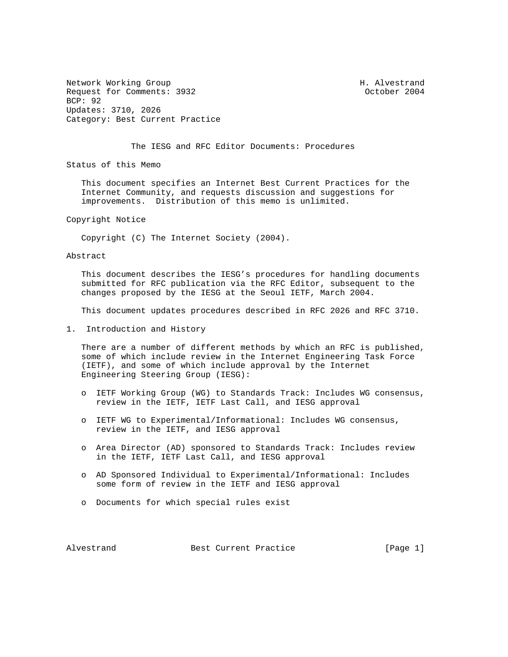Network Working Group Network More Sharehouse H. Alvestrand Request for Comments: 3932 Contract Comments: 3932 BCP: 92 Updates: 3710, 2026 Category: Best Current Practice

The IESG and RFC Editor Documents: Procedures

Status of this Memo

 This document specifies an Internet Best Current Practices for the Internet Community, and requests discussion and suggestions for improvements. Distribution of this memo is unlimited.

Copyright Notice

Copyright (C) The Internet Society (2004).

Abstract

 This document describes the IESG's procedures for handling documents submitted for RFC publication via the RFC Editor, subsequent to the changes proposed by the IESG at the Seoul IETF, March 2004.

This document updates procedures described in RFC 2026 and RFC 3710.

1. Introduction and History

 There are a number of different methods by which an RFC is published, some of which include review in the Internet Engineering Task Force (IETF), and some of which include approval by the Internet Engineering Steering Group (IESG):

- o IETF Working Group (WG) to Standards Track: Includes WG consensus, review in the IETF, IETF Last Call, and IESG approval
- o IETF WG to Experimental/Informational: Includes WG consensus, review in the IETF, and IESG approval
- o Area Director (AD) sponsored to Standards Track: Includes review in the IETF, IETF Last Call, and IESG approval
- o AD Sponsored Individual to Experimental/Informational: Includes some form of review in the IETF and IESG approval
- o Documents for which special rules exist

Alvestrand Best Current Practice [Page 1]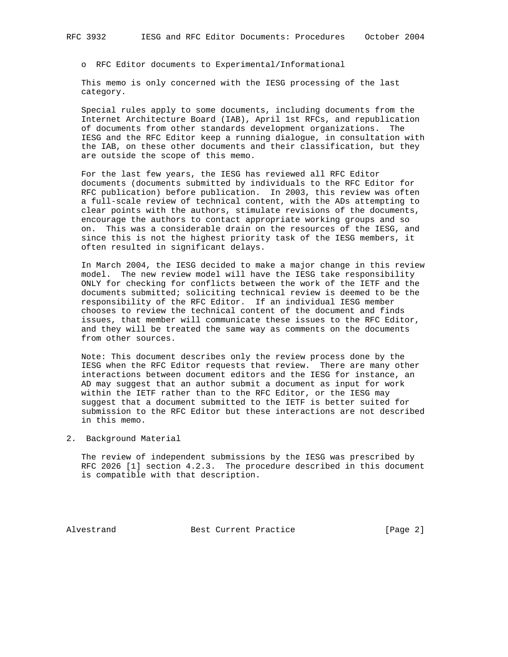o RFC Editor documents to Experimental/Informational

 This memo is only concerned with the IESG processing of the last category.

 Special rules apply to some documents, including documents from the Internet Architecture Board (IAB), April 1st RFCs, and republication of documents from other standards development organizations. The IESG and the RFC Editor keep a running dialogue, in consultation with the IAB, on these other documents and their classification, but they are outside the scope of this memo.

 For the last few years, the IESG has reviewed all RFC Editor documents (documents submitted by individuals to the RFC Editor for RFC publication) before publication. In 2003, this review was often a full-scale review of technical content, with the ADs attempting to clear points with the authors, stimulate revisions of the documents, encourage the authors to contact appropriate working groups and so on. This was a considerable drain on the resources of the IESG, and since this is not the highest priority task of the IESG members, it often resulted in significant delays.

 In March 2004, the IESG decided to make a major change in this review model. The new review model will have the IESG take responsibility ONLY for checking for conflicts between the work of the IETF and the documents submitted; soliciting technical review is deemed to be the responsibility of the RFC Editor. If an individual IESG member chooses to review the technical content of the document and finds issues, that member will communicate these issues to the RFC Editor, and they will be treated the same way as comments on the documents from other sources.

 Note: This document describes only the review process done by the IESG when the RFC Editor requests that review. There are many other interactions between document editors and the IESG for instance, an AD may suggest that an author submit a document as input for work within the IETF rather than to the RFC Editor, or the IESG may suggest that a document submitted to the IETF is better suited for submission to the RFC Editor but these interactions are not described in this memo.

2. Background Material

 The review of independent submissions by the IESG was prescribed by RFC 2026 [1] section 4.2.3. The procedure described in this document is compatible with that description.

Alvestrand Best Current Practice [Page 2]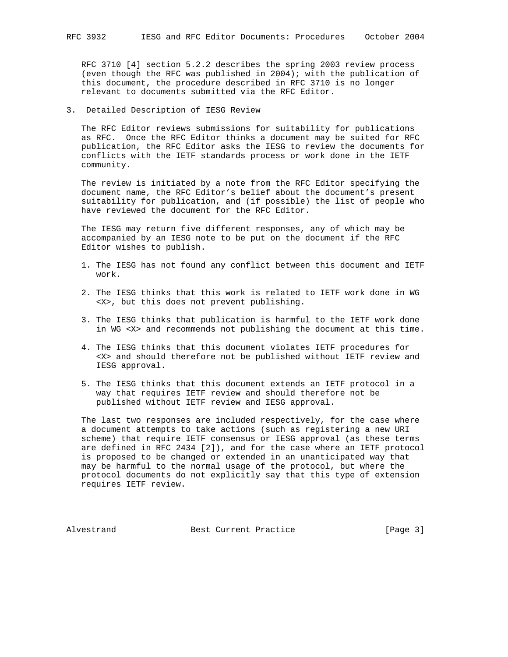RFC 3710 [4] section 5.2.2 describes the spring 2003 review process (even though the RFC was published in 2004); with the publication of this document, the procedure described in RFC 3710 is no longer relevant to documents submitted via the RFC Editor.

3. Detailed Description of IESG Review

 The RFC Editor reviews submissions for suitability for publications as RFC. Once the RFC Editor thinks a document may be suited for RFC publication, the RFC Editor asks the IESG to review the documents for conflicts with the IETF standards process or work done in the IETF community.

 The review is initiated by a note from the RFC Editor specifying the document name, the RFC Editor's belief about the document's present suitability for publication, and (if possible) the list of people who have reviewed the document for the RFC Editor.

 The IESG may return five different responses, any of which may be accompanied by an IESG note to be put on the document if the RFC Editor wishes to publish.

- 1. The IESG has not found any conflict between this document and IETF work.
- 2. The IESG thinks that this work is related to IETF work done in WG <X>, but this does not prevent publishing.
- 3. The IESG thinks that publication is harmful to the IETF work done in WG <X> and recommends not publishing the document at this time.
- 4. The IESG thinks that this document violates IETF procedures for <X> and should therefore not be published without IETF review and IESG approval.
- 5. The IESG thinks that this document extends an IETF protocol in a way that requires IETF review and should therefore not be published without IETF review and IESG approval.

 The last two responses are included respectively, for the case where a document attempts to take actions (such as registering a new URI scheme) that require IETF consensus or IESG approval (as these terms are defined in RFC 2434 [2]), and for the case where an IETF protocol is proposed to be changed or extended in an unanticipated way that may be harmful to the normal usage of the protocol, but where the protocol documents do not explicitly say that this type of extension requires IETF review.

Alvestrand Best Current Practice [Page 3]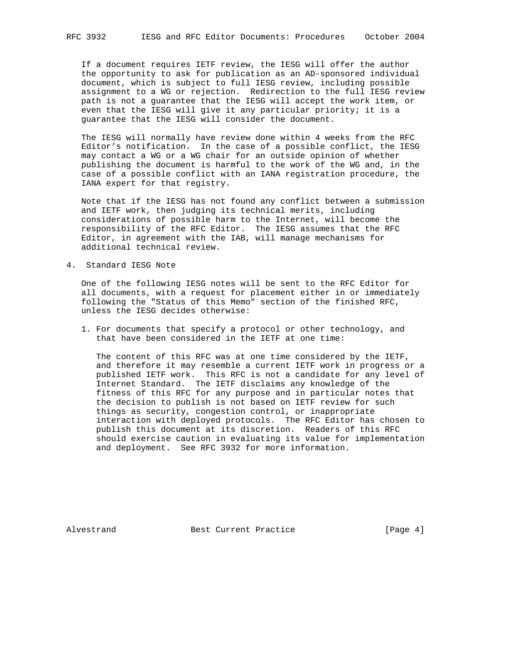If a document requires IETF review, the IESG will offer the author the opportunity to ask for publication as an AD-sponsored individual document, which is subject to full IESG review, including possible assignment to a WG or rejection. Redirection to the full IESG review path is not a guarantee that the IESG will accept the work item, or even that the IESG will give it any particular priority; it is a guarantee that the IESG will consider the document.

 The IESG will normally have review done within 4 weeks from the RFC Editor's notification. In the case of a possible conflict, the IESG may contact a WG or a WG chair for an outside opinion of whether publishing the document is harmful to the work of the WG and, in the case of a possible conflict with an IANA registration procedure, the IANA expert for that registry.

 Note that if the IESG has not found any conflict between a submission and IETF work, then judging its technical merits, including considerations of possible harm to the Internet, will become the responsibility of the RFC Editor. The IESG assumes that the RFC Editor, in agreement with the IAB, will manage mechanisms for additional technical review.

4. Standard IESG Note

 One of the following IESG notes will be sent to the RFC Editor for all documents, with a request for placement either in or immediately following the "Status of this Memo" section of the finished RFC, unless the IESG decides otherwise:

 1. For documents that specify a protocol or other technology, and that have been considered in the IETF at one time:

 The content of this RFC was at one time considered by the IETF, and therefore it may resemble a current IETF work in progress or a published IETF work. This RFC is not a candidate for any level of Internet Standard. The IETF disclaims any knowledge of the fitness of this RFC for any purpose and in particular notes that the decision to publish is not based on IETF review for such things as security, congestion control, or inappropriate interaction with deployed protocols. The RFC Editor has chosen to publish this document at its discretion. Readers of this RFC should exercise caution in evaluating its value for implementation and deployment. See RFC 3932 for more information.

Alvestrand Best Current Practice [Page 4]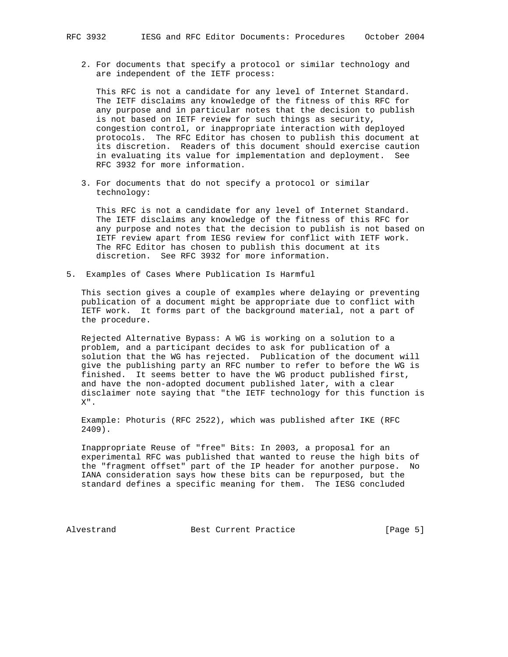2. For documents that specify a protocol or similar technology and are independent of the IETF process:

 This RFC is not a candidate for any level of Internet Standard. The IETF disclaims any knowledge of the fitness of this RFC for any purpose and in particular notes that the decision to publish is not based on IETF review for such things as security, congestion control, or inappropriate interaction with deployed protocols. The RFC Editor has chosen to publish this document at its discretion. Readers of this document should exercise caution in evaluating its value for implementation and deployment. See RFC 3932 for more information.

 3. For documents that do not specify a protocol or similar technology:

 This RFC is not a candidate for any level of Internet Standard. The IETF disclaims any knowledge of the fitness of this RFC for any purpose and notes that the decision to publish is not based on IETF review apart from IESG review for conflict with IETF work. The RFC Editor has chosen to publish this document at its discretion. See RFC 3932 for more information.

5. Examples of Cases Where Publication Is Harmful

 This section gives a couple of examples where delaying or preventing publication of a document might be appropriate due to conflict with IETF work. It forms part of the background material, not a part of the procedure.

 Rejected Alternative Bypass: A WG is working on a solution to a problem, and a participant decides to ask for publication of a solution that the WG has rejected. Publication of the document will give the publishing party an RFC number to refer to before the WG is finished. It seems better to have the WG product published first, and have the non-adopted document published later, with a clear disclaimer note saying that "the IETF technology for this function is X".

 Example: Photuris (RFC 2522), which was published after IKE (RFC 2409).

 Inappropriate Reuse of "free" Bits: In 2003, a proposal for an experimental RFC was published that wanted to reuse the high bits of the "fragment offset" part of the IP header for another purpose. No IANA consideration says how these bits can be repurposed, but the standard defines a specific meaning for them. The IESG concluded

Alvestrand Best Current Practice (Page 5)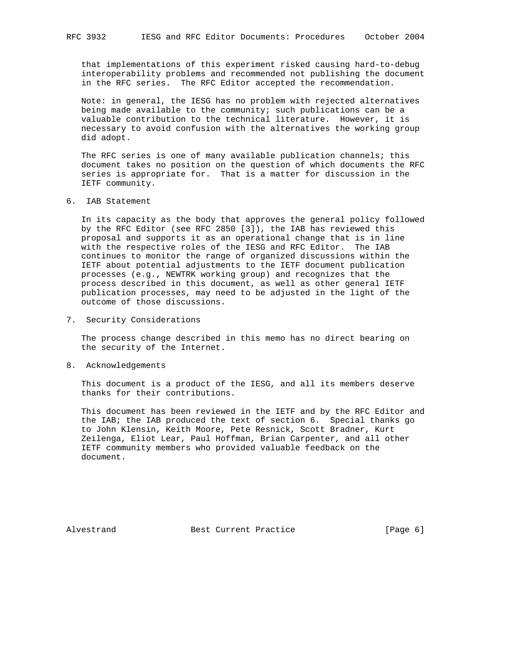that implementations of this experiment risked causing hard-to-debug interoperability problems and recommended not publishing the document in the RFC series. The RFC Editor accepted the recommendation.

 Note: in general, the IESG has no problem with rejected alternatives being made available to the community; such publications can be a valuable contribution to the technical literature. However, it is necessary to avoid confusion with the alternatives the working group did adopt.

 The RFC series is one of many available publication channels; this document takes no position on the question of which documents the RFC series is appropriate for. That is a matter for discussion in the IETF community.

6. IAB Statement

 In its capacity as the body that approves the general policy followed by the RFC Editor (see RFC 2850 [3]), the IAB has reviewed this proposal and supports it as an operational change that is in line with the respective roles of the IESG and RFC Editor. The IAB continues to monitor the range of organized discussions within the IETF about potential adjustments to the IETF document publication processes (e.g., NEWTRK working group) and recognizes that the process described in this document, as well as other general IETF publication processes, may need to be adjusted in the light of the outcome of those discussions.

7. Security Considerations

 The process change described in this memo has no direct bearing on the security of the Internet.

8. Acknowledgements

 This document is a product of the IESG, and all its members deserve thanks for their contributions.

 This document has been reviewed in the IETF and by the RFC Editor and the IAB; the IAB produced the text of section 6. Special thanks go to John Klensin, Keith Moore, Pete Resnick, Scott Bradner, Kurt Zeilenga, Eliot Lear, Paul Hoffman, Brian Carpenter, and all other IETF community members who provided valuable feedback on the document.

Alvestrand Best Current Practice [Page 6]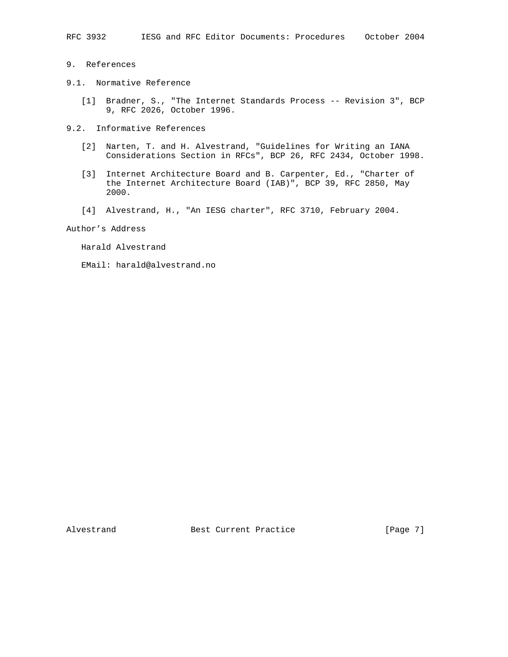- 9. References
- 9.1. Normative Reference
- [1] Bradner, S., "The Internet Standards Process -- Revision 3", BCP 9, RFC 2026, October 1996.
- 9.2. Informative References
	- [2] Narten, T. and H. Alvestrand, "Guidelines for Writing an IANA Considerations Section in RFCs", BCP 26, RFC 2434, October 1998.
	- [3] Internet Architecture Board and B. Carpenter, Ed., "Charter of the Internet Architecture Board (IAB)", BCP 39, RFC 2850, May 2000.
	- [4] Alvestrand, H., "An IESG charter", RFC 3710, February 2004.

Author's Address

- Harald Alvestrand
- EMail: harald@alvestrand.no

Alvestrand Best Current Practice [Page 7]